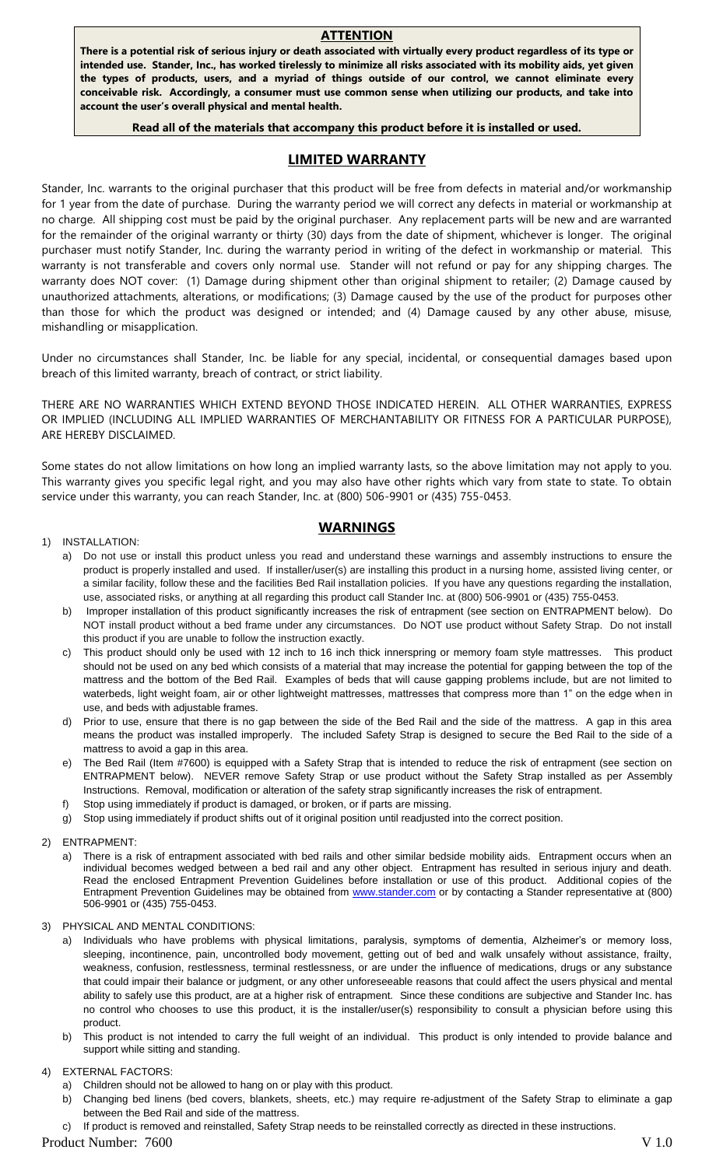#### **ATTENTION**

**There is a potential risk of serious injury or death associated with virtually every product regardless of its type or intended use. Stander, Inc., has worked tirelessly to minimize all risks associated with its mobility aids, yet given the types of products, users, and a myriad of things outside of our control, we cannot eliminate every conceivable risk. Accordingly, a consumer must use common sense when utilizing our products, and take into account the user's overall physical and mental health.**

#### **Read all of the materials that accompany this product before it is installed or used.**

## **LIMITED WARRANTY**

Stander, Inc. warrants to the original purchaser that this product will be free from defects in material and/or workmanship for 1 year from the date of purchase. During the warranty period we will correct any defects in material or workmanship at no charge. All shipping cost must be paid by the original purchaser. Any replacement parts will be new and are warranted for the remainder of the original warranty or thirty (30) days from the date of shipment, whichever is longer. The original purchaser must notify Stander, Inc. during the warranty period in writing of the defect in workmanship or material. This warranty is not transferable and covers only normal use. Stander will not refund or pay for any shipping charges. The warranty does NOT cover: (1) Damage during shipment other than original shipment to retailer; (2) Damage caused by unauthorized attachments, alterations, or modifications; (3) Damage caused by the use of the product for purposes other than those for which the product was designed or intended; and (4) Damage caused by any other abuse, misuse, mishandling or misapplication.

Under no circumstances shall Stander, Inc. be liable for any special, incidental, or consequential damages based upon breach of this limited warranty, breach of contract, or strict liability.

THERE ARE NO WARRANTIES WHICH EXTEND BEYOND THOSE INDICATED HEREIN. ALL OTHER WARRANTIES, EXPRESS OR IMPLIED (INCLUDING ALL IMPLIED WARRANTIES OF MERCHANTABILITY OR FITNESS FOR A PARTICULAR PURPOSE), ARE HEREBY DISCLAIMED.

Some states do not allow limitations on how long an implied warranty lasts, so the above limitation may not apply to you. This warranty gives you specific legal right, and you may also have other rights which vary from state to state. To obtain service under this warranty, you can reach Stander, Inc. at (800) 506-9901 or (435) 755-0453.

## **WARNINGS**

#### 1) INSTALLATION:

- a) Do not use or install this product unless you read and understand these warnings and assembly instructions to ensure the product is properly installed and used. If installer/user(s) are installing this product in a nursing home, assisted living center, or a similar facility, follow these and the facilities Bed Rail installation policies. If you have any questions regarding the installation, use, associated risks, or anything at all regarding this product call Stander Inc. at (800) 506-9901 or (435) 755-0453.
- b) Improper installation of this product significantly increases the risk of entrapment (see section on ENTRAPMENT below). Do NOT install product without a bed frame under any circumstances. Do NOT use product without Safety Strap. Do not install this product if you are unable to follow the instruction exactly.
- c) This product should only be used with 12 inch to 16 inch thick innerspring or memory foam style mattresses. This product should not be used on any bed which consists of a material that may increase the potential for gapping between the top of the mattress and the bottom of the Bed Rail. Examples of beds that will cause gapping problems include, but are not limited to waterbeds, light weight foam, air or other lightweight mattresses, mattresses that compress more than 1" on the edge when in use, and beds with adjustable frames.
- d) Prior to use, ensure that there is no gap between the side of the Bed Rail and the side of the mattress. A gap in this area means the product was installed improperly. The included Safety Strap is designed to secure the Bed Rail to the side of a mattress to avoid a gap in this area.
- e) The Bed Rail (Item #7600) is equipped with a Safety Strap that is intended to reduce the risk of entrapment (see section on ENTRAPMENT below). NEVER remove Safety Strap or use product without the Safety Strap installed as per Assembly Instructions. Removal, modification or alteration of the safety strap significantly increases the risk of entrapment.
- f) Stop using immediately if product is damaged, or broken, or if parts are missing.
- g) Stop using immediately if product shifts out of it original position until readjusted into the correct position.
- 2) ENTRAPMENT:
	- a) There is a risk of entrapment associated with bed rails and other similar bedside mobility aids. Entrapment occurs when an individual becomes wedged between a bed rail and any other object. Entrapment has resulted in serious injury and death. Read the enclosed Entrapment Prevention Guidelines before installation or use of this product. Additional copies of the Entrapment Prevention Guidelines may be obtained from **www.stander.com** or by contacting a Stander representative at (800) 506-9901 or (435) 755-0453.
- 3) PHYSICAL AND MENTAL CONDITIONS:
	- a) Individuals who have problems with physical limitations, paralysis, symptoms of dementia, Alzheimer's or memory loss, sleeping, incontinence, pain, uncontrolled body movement, getting out of bed and walk unsafely without assistance, frailty, weakness, confusion, restlessness, terminal restlessness, or are under the influence of medications, drugs or any substance that could impair their balance or judgment, or any other unforeseeable reasons that could affect the users physical and mental ability to safely use this product, are at a higher risk of entrapment. Since these conditions are subjective and Stander Inc. has no control who chooses to use this product, it is the installer/user(s) responsibility to consult a physician before using this product.
	- b) This product is not intended to carry the full weight of an individual. This product is only intended to provide balance and support while sitting and standing.

#### 4) EXTERNAL FACTORS:

- a) Children should not be allowed to hang on or play with this product.
- b) Changing bed linens (bed covers, blankets, sheets, etc.) may require re-adjustment of the Safety Strap to eliminate a gap between the Bed Rail and side of the mattress.
- If product is removed and reinstalled, Safety Strap needs to be reinstalled correctly as directed in these instructions.

#### Product Number: 7600 V 1.0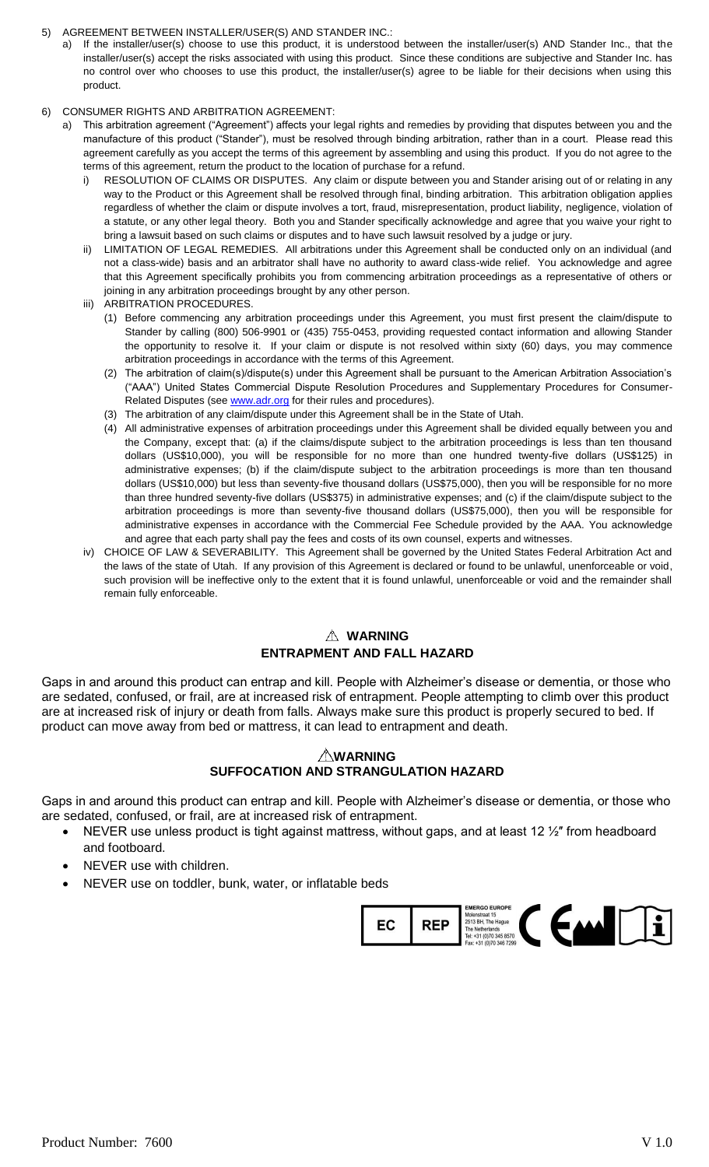- 5) AGREEMENT BETWEEN INSTALLER/USER(S) AND STANDER INC.:
	- a) If the installer/user(s) choose to use this product, it is understood between the installer/user(s) AND Stander Inc., that the installer/user(s) accept the risks associated with using this product. Since these conditions are subjective and Stander Inc. has no control over who chooses to use this product, the installer/user(s) agree to be liable for their decisions when using this product.
- 6) CONSUMER RIGHTS AND ARBITRATION AGREEMENT:
	- a) This arbitration agreement ("Agreement") affects your legal rights and remedies by providing that disputes between you and the manufacture of this product ("Stander"), must be resolved through binding arbitration, rather than in a court. Please read this agreement carefully as you accept the terms of this agreement by assembling and using this product. If you do not agree to the terms of this agreement, return the product to the location of purchase for a refund.
		- i) RESOLUTION OF CLAIMS OR DISPUTES. Any claim or dispute between you and Stander arising out of or relating in any way to the Product or this Agreement shall be resolved through final, binding arbitration. This arbitration obligation applies regardless of whether the claim or dispute involves a tort, fraud, misrepresentation, product liability, negligence, violation of a statute, or any other legal theory. Both you and Stander specifically acknowledge and agree that you waive your right to bring a lawsuit based on such claims or disputes and to have such lawsuit resolved by a judge or jury.
		- ii) LIMITATION OF LEGAL REMEDIES. All arbitrations under this Agreement shall be conducted only on an individual (and not a class-wide) basis and an arbitrator shall have no authority to award class-wide relief. You acknowledge and agree that this Agreement specifically prohibits you from commencing arbitration proceedings as a representative of others or joining in any arbitration proceedings brought by any other person.
		- iii) ARBITRATION PROCEDURES.
			- (1) Before commencing any arbitration proceedings under this Agreement, you must first present the claim/dispute to Stander by calling (800) 506-9901 or (435) 755-0453, providing requested contact information and allowing Stander the opportunity to resolve it. If your claim or dispute is not resolved within sixty (60) days, you may commence arbitration proceedings in accordance with the terms of this Agreement.
			- (2) The arbitration of claim(s)/dispute(s) under this Agreement shall be pursuant to the American Arbitration Association's ("AAA") United States Commercial Dispute Resolution Procedures and Supplementary Procedures for ConsumerRelated Disputes (see [www.adr.org](http://www.adr.org/) for their rules and procedures).
			- (3) The arbitration of any claim/dispute under this Agreement shall be in the State of Utah.
			- (4) All administrative expenses of arbitration proceedings under this Agreement shall be divided equally between you and the Company, except that: (a) if the claims/dispute subject to the arbitration proceedings is less than ten thousand dollars (US\$10,000), you will be responsible for no more than one hundred twenty-five dollars (US\$125) in administrative expenses; (b) if the claim/dispute subject to the arbitration proceedings is more than ten thousand dollars (US\$10,000) but less than seventy-five thousand dollars (US\$75,000), then you will be responsible for no more than three hundred seventy-five dollars (US\$375) in administrative expenses; and (c) if the claim/dispute subject to the arbitration proceedings is more than seventy-five thousand dollars (US\$75,000), then you will be responsible for administrative expenses in accordance with the Commercial Fee Schedule provided by the AAA. You acknowledge and agree that each party shall pay the fees and costs of its own counsel, experts and witnesses.
		- iv) CHOICE OF LAW & SEVERABILITY. This Agreement shall be governed by the United States Federal Arbitration Act and the laws of the state of Utah. If any provision of this Agreement is declared or found to be unlawful, unenforceable or void, such provision will be ineffective only to the extent that it is found unlawful, unenforceable or void and the remainder shall remain fully enforceable.

# **WARNING ENTRAPMENT AND FALL HAZARD**

Gaps in and around this product can entrap and kill. People with Alzheimer's disease or dementia, or those who are sedated, confused, or frail, are at increased risk of entrapment. People attempting to climb over this product are at increased risk of injury or death from falls. Always make sure this product is properly secured to bed. If product can move away from bed or mattress, it can lead to entrapment and death.

# **WARNING SUFFOCATION AND STRANGULATION HAZARD**

Gaps in and around this product can entrap and kill. People with Alzheimer's disease or dementia, or those who are sedated, confused, or frail, are at increased risk of entrapment.

- NEVER use unless product is tight against mattress, without gaps, and at least 12 ½″ from headboard and footboard.
- NEVER use with children.
- NEVER use on toddler, bunk, water, or inflatable beds

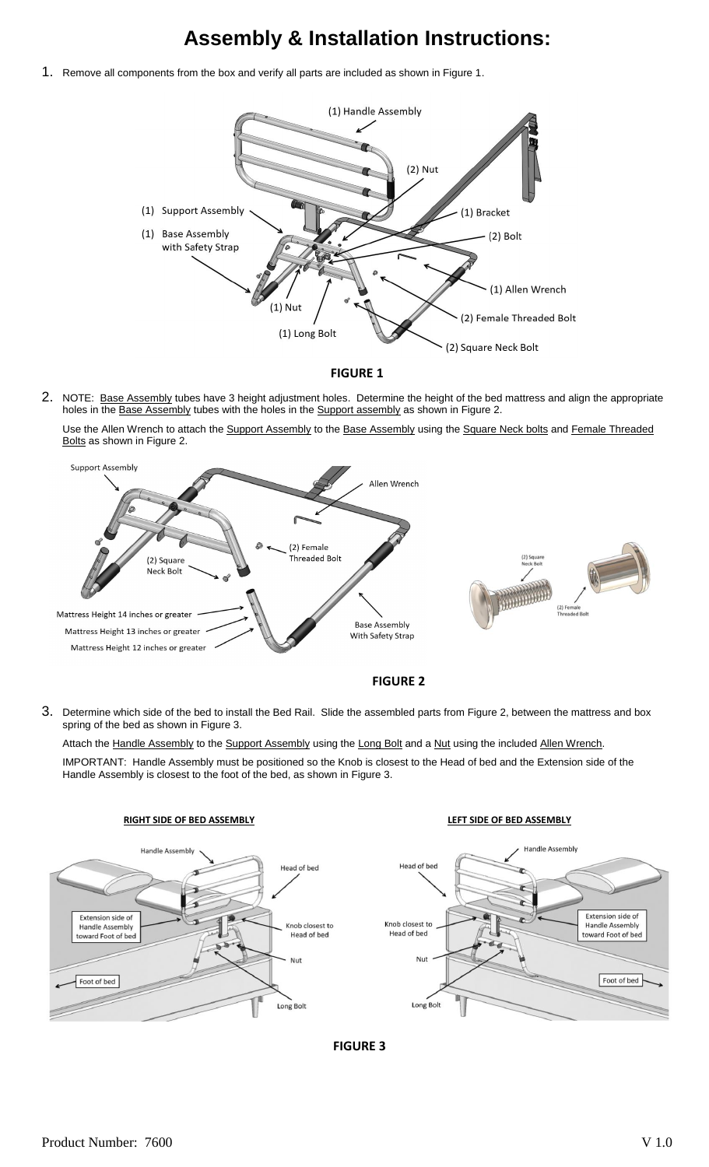# **Assembly & Installation Instructions:**

1. Remove all components from the box and verify all parts are included as shown in Figure 1.



**FIGURE 1**

2. NOTE: Base Assembly tubes have 3 height adjustment holes. Determine the height of the bed mattress and align the appropriate holes in the **Base Assembly** tubes with the holes in the **Support assembly** as shown in Figure 2.

Use the Allen Wrench to attach the Support Assembly to the Base Assembly using the Square Neck bolts and Female Threaded Bolts as shown in Figure 2.





3. Determine which side of the bed to install the Bed Rail. Slide the assembled parts from Figure 2, between the mattress and box spring of the bed as shown in Figure 3.

Attach the Handle Assembly to the Support Assembly using the Long Bolt and a Nut using the included Allen Wrench. IMPORTANT: Handle Assembly must be positioned so the Knob is closest to the Head of bed and the Extension side of the Handle Assembly is closest to the foot of the bed, as shown in Figure 3.



**FIGURE 3**